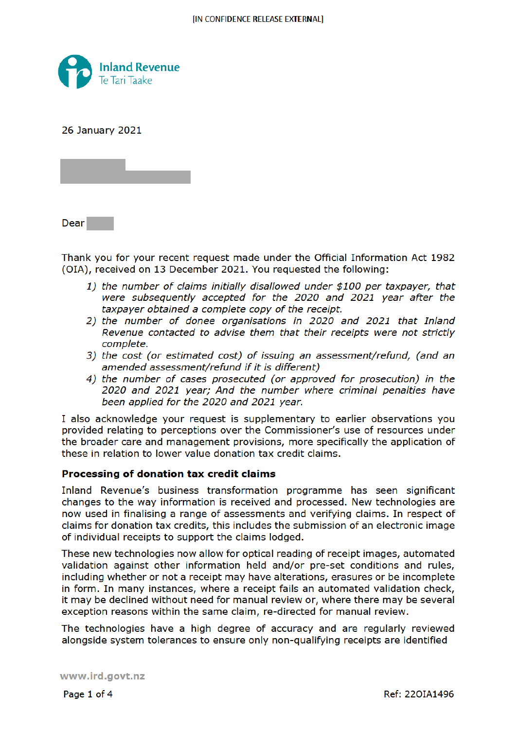

**26 January 2021** 

Dear

Thank you for your recent request made under the Official Information Act 1982 (OIA), received on 13 December 2021. You requested the following:

- 1) the number of claims initially disallowed under \$100 per taxpayer, that were subsequently accepted for the 2020 and 2021 year after the taxpayer obtained a complete copy of the receipt.
- 2) the number of donee organisations in 2020 and 2021 that Inland Revenue contacted to advise them that their receipts were not strictly complete.
- 3) the cost (or estimated cost) of issuing an assessment/refund, (and an amended assessment/refund if it is different)
- 4) the number of cases prosecuted (or approved for prosecution) in the 2020 and 2021 year; And the number where criminal penalties have been applied for the 2020 and 2021 year.

I also acknowledge your request is supplementary to earlier observations you provided relating to perceptions over the Commissioner's use of resources under the broader care and management provisions, more specifically the application of these in relation to lower value donation tax credit claims.

#### Processing of donation tax credit claims

Inland Revenue's business transformation programme has seen significant changes to the way information is received and processed. New technologies are now used in finalising a range of assessments and verifying claims. In respect of claims for donation tax credits, this includes the submission of an electronic image of individual receipts to support the claims lodged.

These new technologies now allow for optical reading of receipt images, automated validation against other information held and/or pre-set conditions and rules, including whether or not a receipt may have alterations, erasures or be incomplete in form. In many instances, where a receipt fails an automated validation check, it may be declined without need for manual review or, where there may be several exception reasons within the same claim, re-directed for manual review.

The technologies have a high degree of accuracy and are regularly reviewed alongside system tolerances to ensure only non-qualifying receipts are identified

www.ird.govt.nz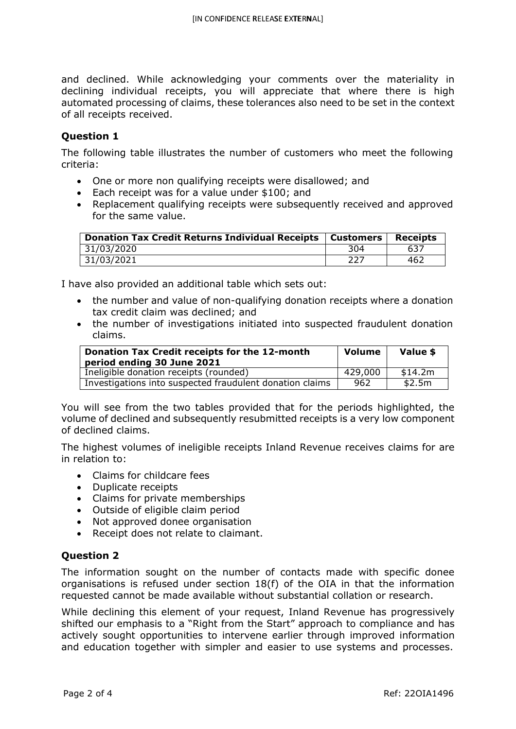and declined. While acknowledging your comments over the materiality in declining individual receipts, you will appreciate that where there is high automated processing of claims, these tolerances also need to be set in the context of all receipts received.

#### **Question 1**

The following table illustrates the number of customers who meet the following criteria:

- One or more non qualifying receipts were disallowed; and
- Each receipt was for a value under \$100; and
- Replacement qualifying receipts were subsequently received and approved for the same value.

| <b>Donation Tax Credit Returns Individual Receipts</b> | Customers | <b>Receipts</b> |
|--------------------------------------------------------|-----------|-----------------|
| 31/03/2020                                             | 304       | 637             |
| 31/03/2021                                             | 227       | 462             |

I have also provided an additional table which sets out:

- the number and value of non-qualifying donation receipts where a donation tax credit claim was declined; and
- the number of investigations initiated into suspected fraudulent donation claims.

| Donation Tax Credit receipts for the 12-month<br>period ending 30 June 2021 | <b>Volume</b> | Value \$ |
|-----------------------------------------------------------------------------|---------------|----------|
| Ineligible donation receipts (rounded)                                      | 429,000       | \$14.2m  |
| Investigations into suspected fraudulent donation claims                    | 962           | \$2.5m   |

You will see from the two tables provided that for the periods highlighted, the volume of declined and subsequently resubmitted receipts is a very low component of declined claims.

The highest volumes of ineligible receipts Inland Revenue receives claims for are in relation to:

- Claims for childcare fees
- Duplicate receipts
- Claims for private memberships
- Outside of eligible claim period
- Not approved donee organisation
- Receipt does not relate to claimant.

## **Question 2**

The information sought on the number of contacts made with specific donee organisations is refused under section 18(f) of the OIA in that the information requested cannot be made available without substantial collation or research.

While declining this element of your request, Inland Revenue has progressively shifted our emphasis to a "Right from the Start" approach to compliance and has actively sought opportunities to intervene earlier through improved information and education together with simpler and easier to use systems and processes.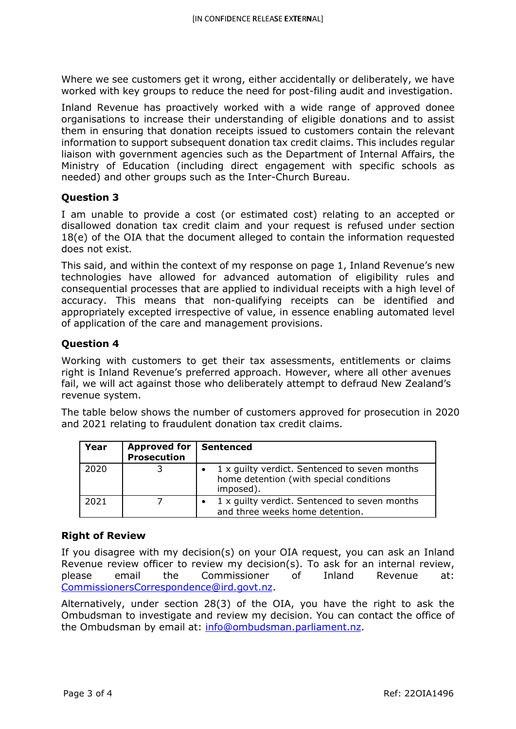Where we see customers get it wrong, either accidentally or deliberately, we have worked with key groups to reduce the need for post-filing audit and investigation.

Inland Revenue has proactively worked with a wide range of approved donee organisations to increase their understanding of eligible donations and to assist them in ensuring that donation receipts issued to customers contain the relevant information to support subsequent donation tax credit claims. This includes regular liaison with government agencies such as the Department of Internal Affairs, the Ministry of Education (including direct engagement with specific schools as needed) and other groups such as the Inter-Church Bureau.

# **Question 3**

I am unable to provide a cost (or estimated cost) relating to an accepted or disallowed donation tax credit claim and your request is refused under section 18(e) of the OIA that the document alleged to contain the information requested does not exist.

This said, and within the context of my response on page 1, Inland Revenue's new technologies have allowed for advanced automation of eligibility rules and consequential processes that are applied to individual receipts with a high level of accuracy. This means that non-qualifying receipts can be identified and appropriately excepted irrespective of value, in essence enabling automated level of application of the care and management provisions.

# **Question 4**

Working with customers to get their tax assessments, entitlements or claims right is Inland Revenue's preferred approach. However, where all other avenues fail, we will act against those who deliberately attempt to defraud New Zealand's revenue system.

The table below shows the number of customers approved for prosecution in 2020 and 2021 relating to fraudulent donation tax credit claims.

| Year | Approved for   Sentenced<br><b>Prosecution</b> |                                                                                                       |
|------|------------------------------------------------|-------------------------------------------------------------------------------------------------------|
| 2020 |                                                | 1 x guilty verdict. Sentenced to seven months<br>home detention (with special conditions<br>imposed). |
| 2021 |                                                | 1 x guilty verdict. Sentenced to seven months<br>and three weeks home detention.                      |

## **Right of Review**

If you disagree with my decision(s) on your OIA request, you can ask an Inland Revenue review officer to review my decision(s). To ask for an internal review, please email the Commissioner of Inland Revenue at: CommissionersCorrespondence@ird.govt.nz.

Alternatively, under section 28(3) of the OIA, you have the right to ask the Ombudsman to investigate and review my decision. You can contact the office of the Ombudsman by email at: info@ombudsman.parliament.nz.